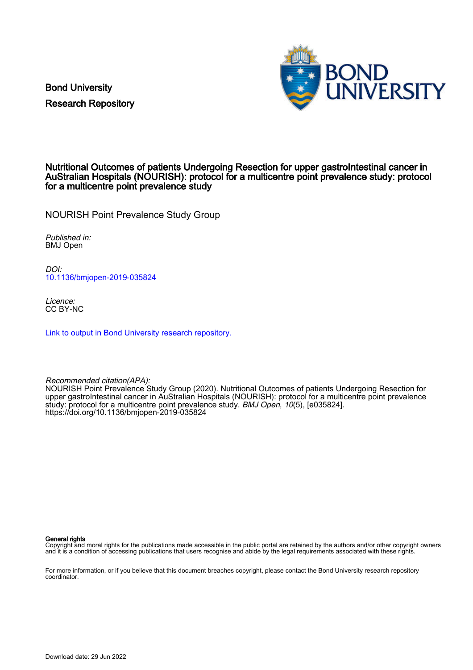Bond University Research Repository



# Nutritional Outcomes of patients Undergoing Resection for upper gastroIntestinal cancer in AuStralian Hospitals (NOURISH): protocol for a multicentre point prevalence study: protocol for a multicentre point prevalence study

NOURISH Point Prevalence Study Group

Published in: BMJ Open

DOI: [10.1136/bmjopen-2019-035824](https://doi.org/10.1136/bmjopen-2019-035824)

Licence: CC BY-NC

[Link to output in Bond University research repository.](https://research.bond.edu.au/en/publications/7c4db000-eb3b-45b1-b0e7-f6928b6431b9)

Recommended citation(APA):

NOURISH Point Prevalence Study Group (2020). Nutritional Outcomes of patients Undergoing Resection for upper gastroIntestinal cancer in AuStralian Hospitals (NOURISH): protocol for a multicentre point prevalence study: protocol for a multicentre point prevalence study. BMJ Open, 10(5), [e035824]. <https://doi.org/10.1136/bmjopen-2019-035824>

General rights

Copyright and moral rights for the publications made accessible in the public portal are retained by the authors and/or other copyright owners and it is a condition of accessing publications that users recognise and abide by the legal requirements associated with these rights.

For more information, or if you believe that this document breaches copyright, please contact the Bond University research repository coordinator.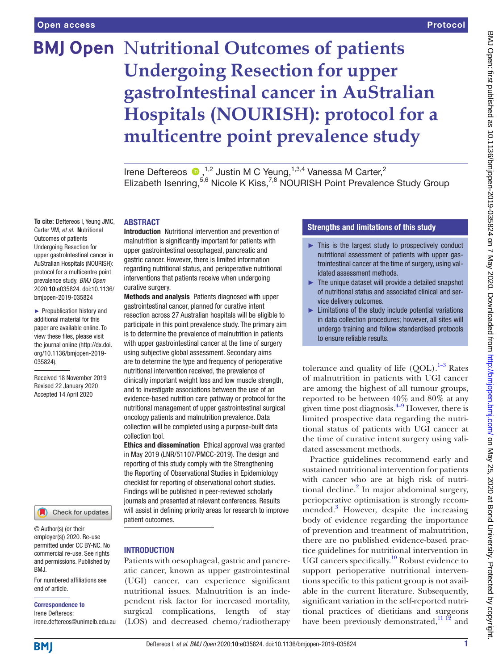# **BMJ Open Nutritional Outcomes of patients Undergoing Resection for upper gastroIntestinal cancer in AuStralian Hospitals (NOURISH): protocol for a multicentre point prevalence study**

Irene Deftereos  $\bullet$ , <sup>1,2</sup> Justin M C Yeung, <sup>1,3,4</sup> Vanessa M Carter,<sup>2</sup> Elizabeth Isenring,<sup>5,6</sup> Nicole K Kiss,<sup>7,8</sup> NOURISH Point Prevalence Study Group

#### **To cite:** Deftereos I, Yeung JMC, Carter VM, *et al*. Nutritional Outcomes of patients Undergoing Resection for upper gastroIntestinal cancer in AuStralian Hospitals (NOURISH): protocol for a multicentre point prevalence study. *BMJ Open* 2020;10:e035824. doi:10.1136/ bmjopen-2019-035824

► Prepublication history and additional material for this paper are available online. To view these files, please visit the journal online (http://dx.doi. org/10.1136/bmjopen-2019- 035824).

Received 18 November 2019 Revised 22 January 2020 Accepted 14 April 2020



© Author(s) (or their employer(s)) 2020. Re-use permitted under CC BY-NC. No commercial re-use. See rights and permissions. Published by BMJ.

For numbered affiliations see end of article.

# Correspondence to

Irene Deftereos; irene.deftereos@unimelb.edu.au **ABSTRACT** 

Introduction Nutritional intervention and prevention of malnutrition is significantly important for patients with upper gastrointestinal oesophageal, pancreatic and gastric cancer. However, there is limited information regarding nutritional status, and perioperative nutritional interventions that patients receive when undergoing curative surgery.

Methods and analysis Patients diagnosed with upper gastrointestinal cancer, planned for curative intent resection across 27 Australian hospitals will be eligible to participate in this point prevalence study. The primary aim is to determine the prevalence of malnutrition in patients with upper gastrointestinal cancer at the time of surgery using subjective global assessment. Secondary aims are to determine the type and frequency of perioperative nutritional intervention received, the prevalence of clinically important weight loss and low muscle strength, and to investigate associations between the use of an evidence-based nutrition care pathway or protocol for the nutritional management of upper gastrointestinal surgical oncology patients and malnutrition prevalence. Data collection will be completed using a purpose-built data collection tool.

Ethics and dissemination Ethical approval was granted in May 2019 (LNR/51107/PMCC-2019). The design and reporting of this study comply with the Strengthening the Reporting of Observational Studies in Epidemiology checklist for reporting of observational cohort studies. Findings will be published in peer-reviewed scholarly journals and presented at relevant conferences. Results will assist in defining priority areas for research to improve patient outcomes.

# **INTRODUCTION**

Patients with oesophageal, gastric and pancreatic cancer, known as upper gastrointestinal (UGI) cancer, can experience significant nutritional issues. Malnutrition is an independent risk factor for increased mortality, surgical complications, length of stay (LOS) and decreased chemo/radiotherapy

# Strengths and limitations of this study

- ► This is the largest study to prospectively conduct nutritional assessment of patients with upper gastrointestinal cancer at the time of surgery, using validated assessment methods.
- ► The unique dataset will provide a detailed snapshot of nutritional status and associated clinical and service delivery outcomes.
- $\blacktriangleright$  Limitations of the study include potential variations in data collection procedures; however, all sites will undergo training and follow standardised protocols to ensure reliable results.

tolerance and quality of life  $(OOL)$ .<sup>[1–3](#page-7-0)</sup> Rates of malnutrition in patients with UGI cancer are among the highest of all tumour groups, reported to be between 40% and 80% at any given time post diagnosis. $4-9$  However, there is limited prospective data regarding the nutritional status of patients with UGI cancer at the time of curative intent surgery using validated assessment methods.

Practice guidelines recommend early and sustained nutritional intervention for patients with cancer who are at high risk of nutri-tional decline.<sup>[2](#page-7-2)</sup> In major abdominal surgery, perioperative optimisation is strongly recommended.<sup>3</sup> However, despite the increasing body of evidence regarding the importance of prevention and treatment of malnutrition, there are no published evidence-based practice guidelines for nutritional intervention in UGI cancers specifically.<sup>[10](#page-7-4)</sup> Robust evidence to support perioperative nutritional interventions specific to this patient group is not available in the current literature. Subsequently, significant variation in the self-reported nutritional practices of dietitians and surgeons have been previously demonstrated,  $11 \frac{12}{2}$  and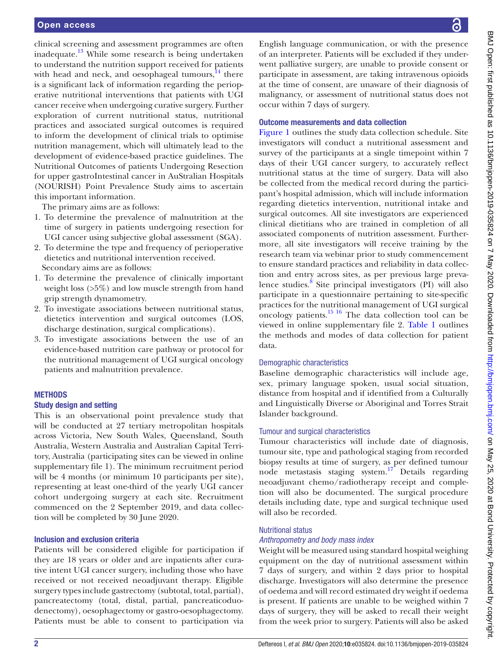clinical screening and assessment programmes are often inadequate.<sup>13</sup> While some research is being undertaken to understand the nutrition support received for patients with head and neck, and oesophageal tumours, $^{14}$  there is a significant lack of information regarding the perioperative nutritional interventions that patients with UGI cancer receive when undergoing curative surgery. Further exploration of current nutritional status, nutritional practices and associated surgical outcomes is required to inform the development of clinical trials to optimise nutrition management, which will ultimately lead to the development of evidence-based practice guidelines. The Nutritional Outcomes of patients Undergoing Resection for upper gastroIntestinal cancer in AuStralian Hospitals (NOURISH) Point Prevalence Study aims to ascertain this important information.

The primary aims are as follows:

- 1. To determine the prevalence of malnutrition at the time of surgery in patients undergoing resection for UGI cancer using subjective global assessment (SGA).
- 2. To determine the type and frequency of perioperative dietetics and nutritional intervention received. Secondary aims are as follows:
- 1. To determine the prevalence of clinically important weight loss (>5%) and low muscle strength from hand grip strength dynamometry.
- 2. To investigate associations between nutritional status, dietetics intervention and surgical outcomes (LOS, discharge destination, surgical complications).
- 3. To investigate associations between the use of an evidence-based nutrition care pathway or protocol for the nutritional management of UGI surgical oncology patients and malnutrition prevalence.

#### **METHODS**

#### Study design and setting

This is an observational point prevalence study that will be conducted at 27 tertiary metropolitan hospitals across Victoria, New South Wales, Queensland, South Australia, Western Australia and Australian Capital Territory, Australia (participating sites can be viewed in [online](https://dx.doi.org/10.1136/bmjopen-2019-035824) [supplementary file 1](https://dx.doi.org/10.1136/bmjopen-2019-035824)). The minimum recruitment period will be 4 months (or minimum 10 participants per site), representing at least one-third of the yearly UGI cancer cohort undergoing surgery at each site. Recruitment commenced on the 2 September 2019, and data collection will be completed by 30 June 2020.

#### Inclusion and exclusion criteria

Patients will be considered eligible for participation if they are 18 years or older and are inpatients after curative intent UGI cancer surgery, including those who have received or not received neoadjuvant therapy. Eligible surgery types include gastrectomy (subtotal, total, partial), pancreatectomy (total, distal, partial, pancreaticoduodenectomy), oesophagectomy or gastro-oesophagectomy. Patients must be able to consent to participation via

English language communication, or with the presence of an interpreter. Patients will be excluded if they underwent palliative surgery, are unable to provide consent or participate in assessment, are taking intravenous opioids at the time of consent, are unaware of their diagnosis of malignancy, or assessment of nutritional status does not occur within 7 days of surgery.

#### Outcome measurements and data collection

[Figure](#page-3-0) 1 outlines the study data collection schedule. Site investigators will conduct a nutritional assessment and survey of the participants at a single timepoint within 7 days of their UGI cancer surgery, to accurately reflect nutritional status at the time of surgery. Data will also be collected from the medical record during the participant's hospital admission, which will include information regarding dietetics intervention, nutritional intake and surgical outcomes. All site investigators are experienced clinical dietitians who are trained in completion of all associated components of nutrition assessment. Furthermore, all site investigators will receive training by the research team via webinar prior to study commencement to ensure standard practices and reliability in data collection and entry across sites, as per previous large preva-lence studies.<sup>[8](#page-7-8)</sup> Site principal investigators (PI) will also participate in a questionnaire pertaining to site-specific practices for the nutritional management of UGI surgical oncology patients.<sup>15 16</sup> The data collection tool can be viewed in [online supplementary file 2.](https://dx.doi.org/10.1136/bmjopen-2019-035824) [Table](#page-4-0) 1 outlines the methods and modes of data collection for patient data.

#### Demographic characteristics

Baseline demographic characteristics will include age, sex, primary language spoken, usual social situation, distance from hospital and if identified from a Culturally and Linguistically Diverse or Aboriginal and Torres Strait Islander background.

#### Tumour and surgical characteristics

Tumour characteristics will include date of diagnosis, tumour site, type and pathological staging from recorded biopsy results at time of surgery, as per defined tumour node metastasis staging system.[17](#page-7-10) Details regarding neoadjuvant chemo/radiotherapy receipt and completion will also be documented. The surgical procedure details including date, type and surgical technique used will also be recorded.

# Nutritional status

#### *Anthropometry and body mass index*

Weight will be measured using standard hospital weighing equipment on the day of nutritional assessment within 7 days of surgery, and within 2 days prior to hospital discharge. Investigators will also determine the presence of oedema and will record estimated dry weight if oedema is present. If patients are unable to be weighed within 7 days of surgery, they will be asked to recall their weight from the week prior to surgery. Patients will also be asked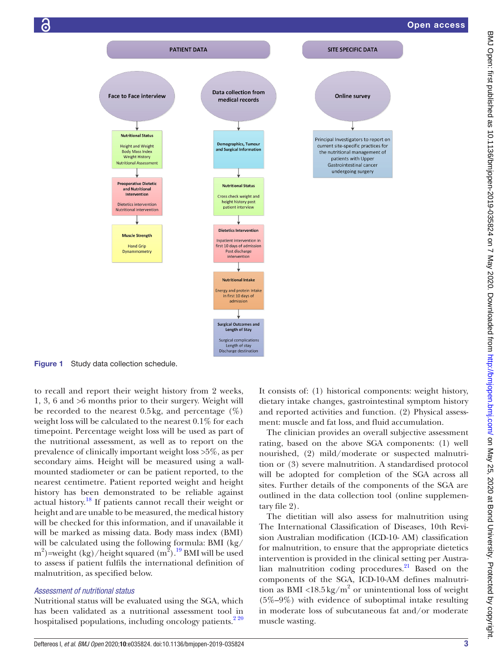

Figure 1 Study data collection schedule.

to recall and report their weight history from 2 weeks, 1, 3, 6 and >6 months prior to their surgery. Weight will be recorded to the nearest 0.5 kg, and percentage  $(\%)$ weight loss will be calculated to the nearest 0.1% for each timepoint. Percentage weight loss will be used as part of the nutritional assessment, as well as to report on the prevalence of clinically important weight loss >5%, as per secondary aims. Height will be measured using a wallmounted stadiometer or can be patient reported, to the nearest centimetre. Patient reported weight and height history has been demonstrated to be reliable against actual history.<sup>18</sup> If patients cannot recall their weight or height and are unable to be measured, the medical history will be checked for this information, and if unavailable it will be marked as missing data. Body mass index (BMI) will be calculated using the following formula: BMI (kg/ m<sup>2</sup>)=weight (kg)/height squared  $(m^2)$ .<sup>19</sup> BMI will be used to assess if patient fulfils the international definition of malnutrition, as specified below.

#### *Assessment of nutritional status*

Nutritional status will be evaluated using the SGA, which has been validated as a nutritional assessment tool in hospitalised populations, including oncology patients.<sup>220</sup> <span id="page-3-0"></span>It consists of: (1) historical components: weight history, dietary intake changes, gastrointestinal symptom history and reported activities and function. (2) Physical assessment: muscle and fat loss, and fluid accumulation.

The clinician provides an overall subjective assessment rating, based on the above SGA components: (1) well nourished, (2) mild/moderate or suspected malnutrition or (3) severe malnutrition. A standardised protocol will be adopted for completion of the SGA across all sites. Further details of the components of the SGA are outlined in the data collection tool [\(online supplemen](https://dx.doi.org/10.1136/bmjopen-2019-035824)[tary file 2](https://dx.doi.org/10.1136/bmjopen-2019-035824)).

The dietitian will also assess for malnutrition using The International Classification of Diseases, 10th Revision Australian modification (ICD-10- AM) classification for malnutrition, to ensure that the appropriate dietetics intervention is provided in the clinical setting per Australian malnutrition coding procedures. $^{21}$  $^{21}$  $^{21}$  Based on the components of the SGA, ICD-10-AM defines malnutrition as BMI <18.5 kg/ $m^2$  or unintentional loss of weight (5%–9%) with evidence of suboptimal intake resulting in moderate loss of subcutaneous fat and/or moderate muscle wasting.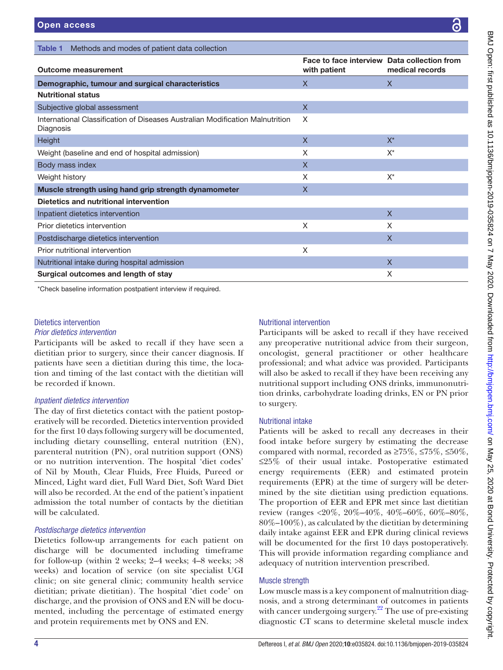<span id="page-4-0"></span>Table 1 Methods and modes of patient data collection

| <b>Outcome measurement</b>                                                                 | Face to face interview Data collection from<br>with patient | medical records |
|--------------------------------------------------------------------------------------------|-------------------------------------------------------------|-----------------|
| Demographic, tumour and surgical characteristics                                           | $\mathsf{X}$                                                | $\mathsf{X}$    |
| <b>Nutritional status</b>                                                                  |                                                             |                 |
| Subjective global assessment                                                               | $\mathsf{X}$                                                |                 |
| International Classification of Diseases Australian Modification Malnutrition<br>Diagnosis | X                                                           |                 |
| Height                                                                                     | $\mathsf{X}$                                                | $X^*$           |
| Weight (baseline and end of hospital admission)                                            | X                                                           | $X^*$           |
| Body mass index                                                                            | $\mathsf{X}$                                                |                 |
| Weight history                                                                             | X                                                           | $X^*$           |
| Muscle strength using hand grip strength dynamometer                                       | $\mathsf{X}$                                                |                 |
| Dietetics and nutritional intervention                                                     |                                                             |                 |
| Inpatient dietetics intervention                                                           |                                                             | $\mathsf{X}$    |
| Prior dietetics intervention                                                               | X                                                           | X               |
| Postdischarge dietetics intervention                                                       |                                                             | $\mathsf{X}$    |
| Prior nutritional intervention                                                             | X                                                           |                 |
| Nutritional intake during hospital admission                                               |                                                             | $\mathsf{X}$    |
| Surgical outcomes and length of stay                                                       |                                                             | X               |

# Dietetics intervention

# *Prior dietetics intervention*

Participants will be asked to recall if they have seen a dietitian prior to surgery, since their cancer diagnosis. If patients have seen a dietitian during this time, the location and timing of the last contact with the dietitian will be recorded if known.

# *Inpatient dietetics intervention*

The day of first dietetics contact with the patient postoperatively will be recorded. Dietetics intervention provided for the first 10 days following surgery will be documented, including dietary counselling, enteral nutrition (EN), parenteral nutrition (PN), oral nutrition support (ONS) or no nutrition intervention. The hospital 'diet codes' of Nil by Mouth, Clear Fluids, Free Fluids, Pureed or Minced, Light ward diet, Full Ward Diet, Soft Ward Diet will also be recorded. At the end of the patient's inpatient admission the total number of contacts by the dietitian will be calculated.

# *Postdischarge dietetics intervention*

Dietetics follow-up arrangements for each patient on discharge will be documented including timeframe for follow-up (within 2 weeks; 2–4 weeks; 4–8 weeks; >8 weeks) and location of service (on site specialist UGI clinic; on site general clinic; community health service dietitian; private dietitian). The hospital 'diet code' on discharge, and the provision of ONS and EN will be documented, including the percentage of estimated energy and protein requirements met by ONS and EN.

# Nutritional intervention

Participants will be asked to recall if they have received any preoperative nutritional advice from their surgeon, oncologist, general practitioner or other healthcare professional; and what advice was provided. Participants will also be asked to recall if they have been receiving any nutritional support including ONS drinks, immunonutrition drinks, carbohydrate loading drinks, EN or PN prior to surgery.

# Nutritional intake

Patients will be asked to recall any decreases in their food intake before surgery by estimating the decrease compared with normal, recorded as  $\geq 75\%$ ,  $\leq 75\%$ ,  $\leq 50\%$ , ≤25% of their usual intake. Postoperative estimated energy requirements (EER) and estimated protein requirements (EPR) at the time of surgery will be determined by the site dietitian using prediction equations. The proportion of EER and EPR met since last dietitian review (ranges <20%, 20%–40%, 40%–60%, 60%–80%, 80%–100%), as calculated by the dietitian by determining daily intake against EER and EPR during clinical reviews will be documented for the first 10 days postoperatively. This will provide information regarding compliance and adequacy of nutrition intervention prescribed.

# Muscle strength

Low muscle mass is a key component of malnutrition diagnosis, and a strong determinant of outcomes in patients with cancer undergoing surgery.<sup>22</sup> The use of pre-existing diagnostic CT scans to determine skeletal muscle index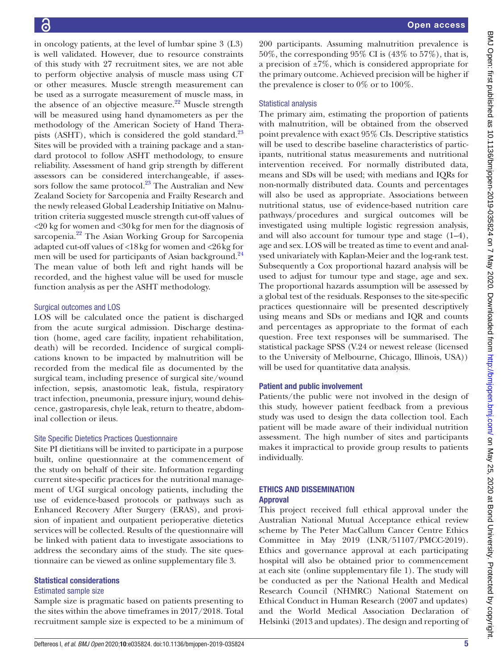in oncology patients, at the level of lumbar spine 3 (L3) is well validated. However, due to resource constraints of this study with 27 recruitment sites, we are not able to perform objective analysis of muscle mass using CT or other measures. Muscle strength measurement can be used as a surrogate measurement of muscle mass, in the absence of an objective measure. $^{22}$  Muscle strength will be measured using hand dynamometers as per the methodology of the American Society of Hand Therapists (ASHT), which is considered the gold standard. $^{23}$ Sites will be provided with a training package and a standard protocol to follow ASHT methodology, to ensure reliability. Assessment of hand grip strength by different assessors can be considered interchangeable, if assessors follow the same protocol. $^{23}$  The Australian and New Zealand Society for Sarcopenia and Frailty Research and the newly released Global Leadership Initiative on Malnutrition criteria suggested muscle strength cut-off values of <20 kg for women and <30kg for men for the diagnosis of sarcopenia.<sup>22</sup> The Asian Working Group for Sarcopenia adapted cut-off values of <18kg for women and <26kg for men will be used for participants of Asian background.<sup>24</sup> The mean value of both left and right hands will be recorded, and the highest value will be used for muscle function analysis as per the ASHT methodology.

# Surgical outcomes and LOS

LOS will be calculated once the patient is discharged from the acute surgical admission. Discharge destination (home, aged care facility, inpatient rehabilitation, death) will be recorded. Incidence of surgical complications known to be impacted by malnutrition will be recorded from the medical file as documented by the surgical team, including presence of surgical site/wound infection, sepsis, anastomotic leak, fistula, respiratory tract infection, pneumonia, pressure injury, wound dehiscence, gastroparesis, chyle leak, return to theatre, abdominal collection or ileus.

#### Site Specific Dietetics Practices Questionnaire

Site PI dietitians will be invited to participate in a purpose built, online questionnaire at the commencement of the study on behalf of their site. Information regarding current site-specific practices for the nutritional management of UGI surgical oncology patients, including the use of evidence-based protocols or pathways such as Enhanced Recovery After Surgery (ERAS), and provision of inpatient and outpatient perioperative dietetics services will be collected. Results of the questionnaire will be linked with patient data to investigate associations to address the secondary aims of the study. The site questionnaire can be viewed as [online supplementary file 3](https://dx.doi.org/10.1136/bmjopen-2019-035824).

# Statistical considerations

#### Estimated sample size

Sample size is pragmatic based on patients presenting to the sites within the above timeframes in 2017/2018. Total recruitment sample size is expected to be a minimum of 200 participants. Assuming malnutrition prevalence is 50%, the corresponding 95% CI is (43% to 57%), that is, a precision of  $\pm 7\%$ , which is considered appropriate for the primary outcome. Achieved precision will be higher if the prevalence is closer to  $0\%$  or to  $100\%$ .

# Statistical analysis

The primary aim, estimating the proportion of patients with malnutrition, will be obtained from the observed point prevalence with exact 95% CIs. Descriptive statistics will be used to describe baseline characteristics of participants, nutritional status measurements and nutritional intervention received. For normally distributed data, means and SDs will be used; with medians and IQRs for non-normally distributed data. Counts and percentages will also be used as appropriate. Associations between nutritional status, use of evidence-based nutrition care pathways/procedures and surgical outcomes will be investigated using multiple logistic regression analysis, and will also account for tumour type and stage (1–4), age and sex. LOS will be treated as time to event and analysed univariately with Kaplan-Meier and the log-rank test. Subsequently a Cox proportional hazard analysis will be used to adjust for tumour type and stage, age and sex. The proportional hazards assumption will be assessed by a global test of the residuals. Responses to the site-specific practices questionnaire will be presented descriptively using means and SDs or medians and IQR and counts and percentages as appropriate to the format of each question. Free text responses will be summarised. The statistical package SPSS (V.24 or newest release (licensed to the University of Melbourne, Chicago, Illinois, USA)) will be used for quantitative data analysis.

# Patient and public involvement

Patients/the public were not involved in the design of this study, however patient feedback from a previous study was used to design the data collection tool. Each patient will be made aware of their individual nutrition assessment. The high number of sites and participants makes it impractical to provide group results to patients individually.

# Ethics and dissemination Approval

This project received full ethical approval under the Australian National Mutual Acceptance ethical review scheme by The Peter MacCallum Cancer Centre Ethics Committee in May 2019 (LNR/51107/PMCC-2019). Ethics and governance approval at each participating hospital will also be obtained prior to commencement at each site [\(online supplementary file 1\)](https://dx.doi.org/10.1136/bmjopen-2019-035824). The study will be conducted as per the National Health and Medical Research Council (NHMRC) National Statement on Ethical Conduct in Human Research (2007 and updates) and the World Medical Association Declaration of Helsinki (2013 and updates). The design and reporting of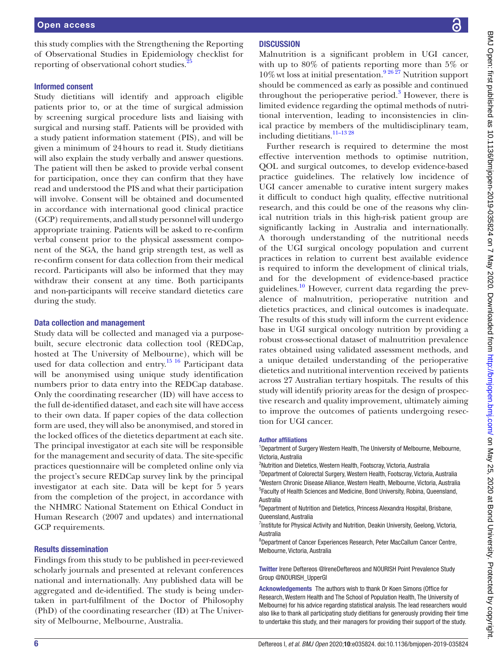this study complies with the Strengthening the Reporting of Observational Studies in Epidemiology checklist for reporting of observational cohort studies.<sup>2</sup>

#### Informed consent

Study dietitians will identify and approach eligible patients prior to, or at the time of surgical admission by screening surgical procedure lists and liaising with surgical and nursing staff. Patients will be provided with a study patient information statement (PIS), and will be given a minimum of 24hours to read it. Study dietitians will also explain the study verbally and answer questions. The patient will then be asked to provide verbal consent for participation, once they can confirm that they have read and understood the PIS and what their participation will involve. Consent will be obtained and documented in accordance with international good clinical practice (GCP) requirements, and all study personnel will undergo appropriate training. Patients will be asked to re-confirm verbal consent prior to the physical assessment component of the SGA, the hand grip strength test, as well as re-confirm consent for data collection from their medical record. Participants will also be informed that they may withdraw their consent at any time. Both participants and non-participants will receive standard dietetics care during the study.

#### Data collection and management

Study data will be collected and managed via a purposebuilt, secure electronic data collection tool (REDCap, hosted at The University of Melbourne), which will be used for data collection and entry.<sup>15 16</sup> Participant data will be anonymised using unique study identification numbers prior to data entry into the REDCap database. Only the coordinating researcher (ID) will have access to the full de-identified dataset, and each site will have access to their own data. If paper copies of the data collection form are used, they will also be anonymised, and stored in the locked offices of the dietetics department at each site. The principal investigator at each site will be responsible for the management and security of data. The site-specific practices questionnaire will be completed online only via the project's secure REDCap survey link by the principal investigator at each site. Data will be kept for 5 years from the completion of the project, in accordance with the NHMRC National Statement on Ethical Conduct in Human Research (2007 and updates) and international GCP requirements.

#### Results dissemination

Findings from this study to be published in peer-reviewed scholarly journals and presented at relevant conferences national and internationally. Any published data will be aggregated and de-identified. The study is being undertaken in part-fulfilment of the Doctor of Philosophy (PhD) of the coordinating researcher (ID) at The University of Melbourne, Melbourne, Australia.

# **DISCUSSION**

Malnutrition is a significant problem in UGI cancer, with up to 80% of patients reporting more than 5% or  $10\%$  wt loss at initial presentation.<sup>9 26  $\overline{27}$ </sup> Nutrition support should be commenced as early as possible and continued throughout the perioperative period.<sup>[3](#page-7-3)</sup> However, there is limited evidence regarding the optimal methods of nutritional intervention, leading to inconsistencies in clinical practice by members of the multidisciplinary team, including dietitians.[11–13 28](#page-7-5)

Further research is required to determine the most effective intervention methods to optimise nutrition, QOL and surgical outcomes, to develop evidence-based practice guidelines. The relatively low incidence of UGI cancer amenable to curative intent surgery makes it difficult to conduct high quality, effective nutritional research, and this could be one of the reasons why clinical nutrition trials in this high-risk patient group are significantly lacking in Australia and internationally. A thorough understanding of the nutritional needs of the UGI surgical oncology population and current practices in relation to current best available evidence is required to inform the development of clinical trials, and for the development of evidence-based practice guidelines.<sup>10</sup> However, current data regarding the prevalence of malnutrition, perioperative nutrition and dietetics practices, and clinical outcomes is inadequate. The results of this study will inform the current evidence base in UGI surgical oncology nutrition by providing a robust cross-sectional dataset of malnutrition prevalence rates obtained using validated assessment methods, and a unique detailed understanding of the perioperative dietetics and nutritional intervention received by patients across 27 Australian tertiary hospitals. The results of this study will identify priority areas for the design of prospective research and quality improvement, ultimately aiming to improve the outcomes of patients undergoing resection for UGI cancer.

#### Author affiliations

<sup>1</sup>Department of Surgery Western Health, The University of Melbourne, Melbourne, Victoria, Australia

<sup>2</sup>Nutrition and Dietetics, Western Health, Footscray, Victoria, Australia

<sup>3</sup>Department of Colorectal Surgery, Western Health, Footscray, Victoria, Australia 4 Western Chronic Disease Alliance, Western Health, Melbourne, Victoria, Australia 5 Faculty of Health Sciences and Medicine, Bond University, Robina, Queensland, Australia

6 Department of Nutrition and Dietetics, Princess Alexandra Hospital, Brisbane, Queensland, Australia

<sup>7</sup>Institute for Physical Activity and Nutrition, Deakin University, Geelong, Victoria, Australia

8 Department of Cancer Experiences Research, Peter MacCallum Cancer Centre, Melbourne, Victoria, Australia

Twitter Irene Deftereos [@IreneDeftereos](https://twitter.com/IreneDeftereos) and NOURISH Point Prevalence Study Group [@NOURISH\\_UpperGI](https://twitter.com/NOURISH_UpperGI)

Acknowledgements The authors wish to thank Dr Koen Simons (Office for Research, Western Health and The School of Population Health, The University of Melbourne) for his advice regarding statistical analysis. The lead researchers would also like to thank all participating study dietitians for generously providing their time to undertake this study, and their managers for providing their support of the study.